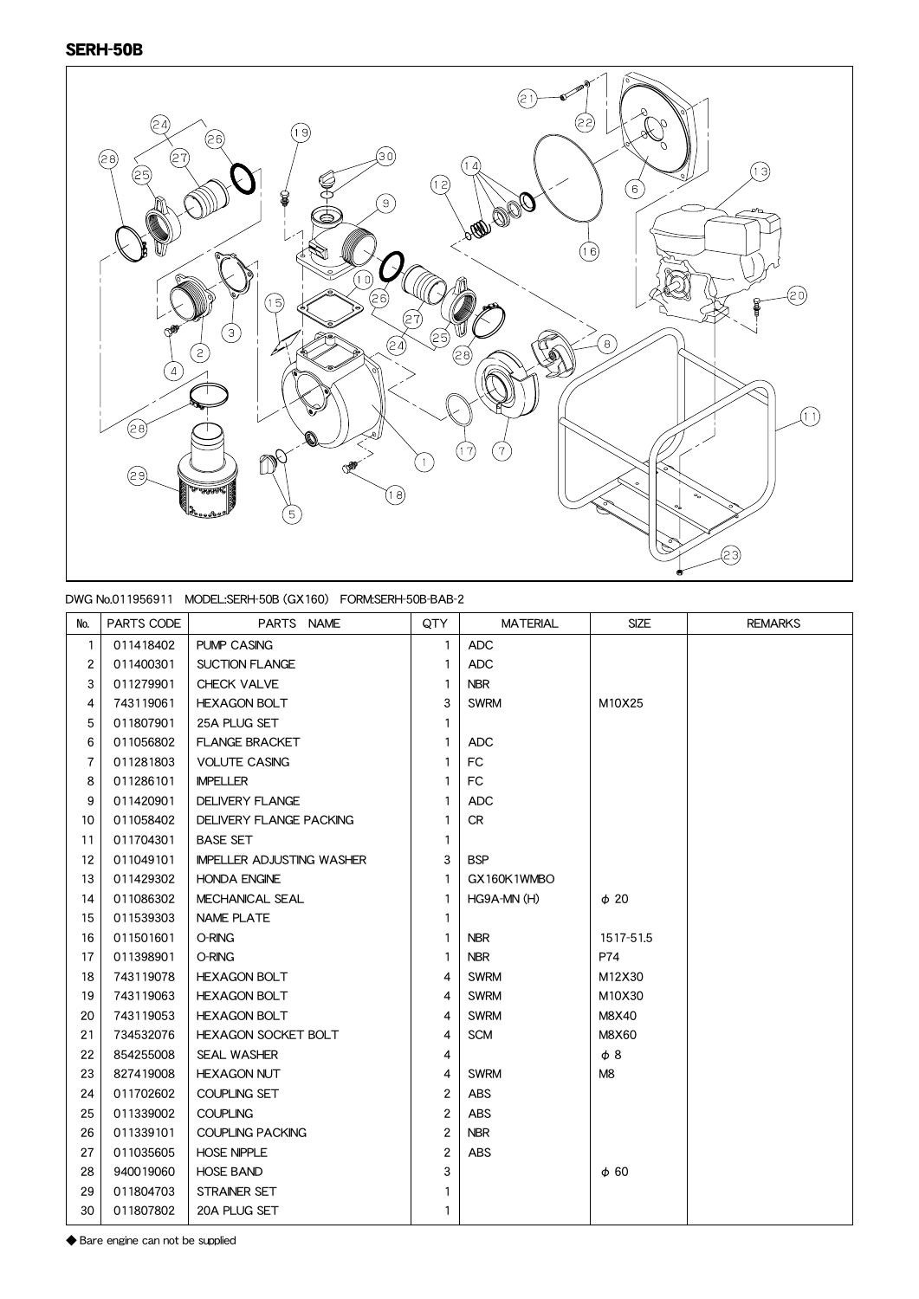## SERH-50B



## DWG No.011956911 MODEL:SERH-50B (GX160) FORM:SERH-50B-BAB-2

| No.            | PARTS CODE | PARTS NAME                       | QTY            | <b>MATERIAL</b> | <b>SIZE</b>    | <b>REMARKS</b> |
|----------------|------------|----------------------------------|----------------|-----------------|----------------|----------------|
| $\mathbf{1}$   | 011418402  | <b>PUMP CASING</b>               | 1              | <b>ADC</b>      |                |                |
| $\overline{2}$ | 011400301  | <b>SUCTION FLANGE</b>            | 1              | <b>ADC</b>      |                |                |
| 3              | 011279901  | CHECK VALVE                      | 1              | <b>NBR</b>      |                |                |
| 4              | 743119061  | <b>HEXAGON BOLT</b>              | 3              | <b>SWRM</b>     | M10X25         |                |
| 5              | 011807901  | 25A PLUG SET                     | 1              |                 |                |                |
| 6              | 011056802  | <b>FLANGE BRACKET</b>            | $\mathbf{1}$   | <b>ADC</b>      |                |                |
| 7              | 011281803  | <b>VOLUTE CASING</b>             | 1              | <b>FC</b>       |                |                |
| 8              | 011286101  | <b>IMPELLER</b>                  | 1              | FC              |                |                |
| 9              | 011420901  | <b>DELIVERY FLANGE</b>           | 1              | <b>ADC</b>      |                |                |
| 10             | 011058402  | <b>DELIVERY FLANGE PACKING</b>   | 1              | <b>CR</b>       |                |                |
| 11             | 011704301  | <b>BASE SET</b>                  | 1              |                 |                |                |
| 12             | 011049101  | <b>IMPELLER ADJUSTING WASHER</b> | 3              | <b>BSP</b>      |                |                |
| 13             | 011429302  | <b>HONDA ENGINE</b>              | 1              | GX160K1WMBO     |                |                |
| 14             | 011086302  | MECHANICAL SEAL                  | 1              | HG9A-MN (H)     | $\phi$ 20      |                |
| 15             | 011539303  | <b>NAME PLATE</b>                | 1              |                 |                |                |
| 16             | 011501601  | O-RING                           | 1              | <b>NBR</b>      | 1517-51.5      |                |
| 17             | 011398901  | O-RING                           | 1              | <b>NBR</b>      | P74            |                |
| 18             | 743119078  | <b>HEXAGON BOLT</b>              | 4              | <b>SWRM</b>     | M12X30         |                |
| 19             | 743119063  | <b>HEXAGON BOLT</b>              | 4              | <b>SWRM</b>     | M10X30         |                |
| 20             | 743119053  | <b>HEXAGON BOLT</b>              | 4              | <b>SWRM</b>     | M8X40          |                |
| 21             | 734532076  | <b>HEXAGON SOCKET BOLT</b>       | 4              | <b>SCM</b>      | M8X60          |                |
| 22             | 854255008  | <b>SEAL WASHER</b>               | 4              |                 | $\phi$ 8       |                |
| 23             | 827419008  | <b>HEXAGON NUT</b>               | 4              | <b>SWRM</b>     | M <sub>8</sub> |                |
| 24             | 011702602  | <b>COUPLING SET</b>              | $\overline{2}$ | <b>ABS</b>      |                |                |
| 25             | 011339002  | <b>COUPLING</b>                  | $\overline{2}$ | <b>ABS</b>      |                |                |
| 26             | 011339101  | <b>COUPLING PACKING</b>          | $\overline{2}$ | <b>NBR</b>      |                |                |
| 27             | 011035605  | <b>HOSE NIPPLE</b>               | $\overline{2}$ | <b>ABS</b>      |                |                |
| 28             | 940019060  | <b>HOSE BAND</b>                 | 3              |                 | $\phi$ 60      |                |
| 29             | 011804703  | STRAINER SET                     | 1              |                 |                |                |
| 30             | 011807802  | 20A PLUG SET                     | 1              |                 |                |                |

◆ Bare engine can not be supplied